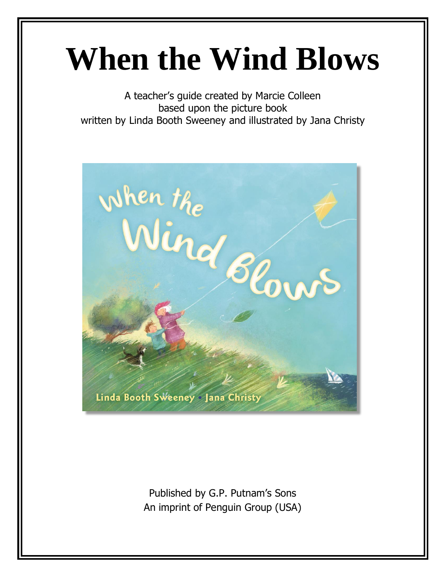# **When the Wind Blows**

A teacher's guide created by Marcie Colleen based upon the picture book written by Linda Booth Sweeney and illustrated by Jana Christy



Published by G.P. Putnam's Sons An imprint of Penguin Group (USA)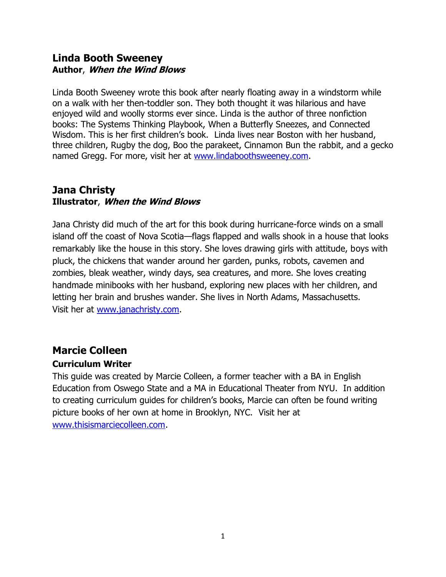#### **Linda Booth Sweeney Author**, **When the Wind Blows**

Linda Booth Sweeney wrote this book after nearly floating away in a windstorm while on a walk with her then-toddler son. They both thought it was hilarious and have enjoyed wild and woolly storms ever since. Linda is the author of three nonfiction books: The Systems Thinking Playbook, When a Butterfly Sneezes, and Connected Wisdom. This is her first children's book. Linda lives near Boston with her husband, three children, Rugby the dog, Boo the parakeet, Cinnamon Bun the rabbit, and a gecko named Gregg. For more, visit her at [www.lindaboothsweeney.com.](http://www.lindaboothsweeney.com/)

#### **Jana Christy Illustrator**, **When the Wind Blows**

Jana Christy did much of the art for this book during hurricane-force winds on a small island off the coast of Nova Scotia—flags flapped and walls shook in a house that looks remarkably like the house in this story. She loves drawing girls with attitude, boys with pluck, the chickens that wander around her garden, punks, robots, cavemen and zombies, bleak weather, windy days, sea creatures, and more. She loves creating handmade minibooks with her husband, exploring new places with her children, and letting her brain and brushes wander. She lives in North Adams, Massachusetts. Visit her at [www.janachristy.com.](http://www.janachristy.com/)

## **Marcie Colleen**

#### **Curriculum Writer**

This guide was created by Marcie Colleen, a former teacher with a BA in English Education from Oswego State and a MA in Educational Theater from NYU. In addition to creating curriculum guides for children's books, Marcie can often be found writing picture books of her own at home in Brooklyn, NYC. Visit her at [www.thisismarciecolleen.com.](file:///C:/Users/marcie/Desktop/Curriculum%20Guides/Kobee%20Manatee/www.thisismarciecolleen.com)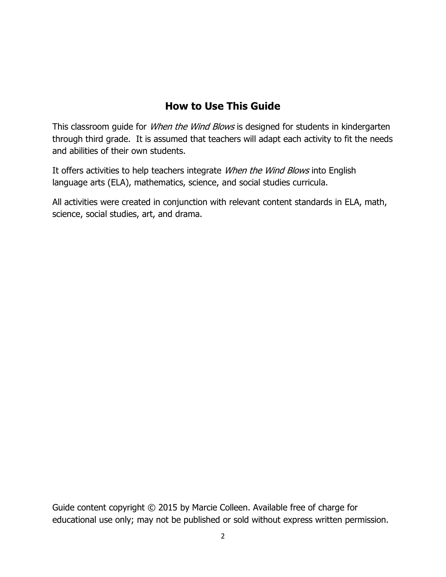#### **How to Use This Guide**

This classroom guide for *When the Wind Blows* is designed for students in kindergarten through third grade. It is assumed that teachers will adapt each activity to fit the needs and abilities of their own students.

It offers activities to help teachers integrate *When the Wind Blows* into English language arts (ELA), mathematics, science, and social studies curricula.

All activities were created in conjunction with relevant content standards in ELA, math, science, social studies, art, and drama.

Guide content copyright © 2015 by Marcie Colleen. Available free of charge for educational use only; may not be published or sold without express written permission.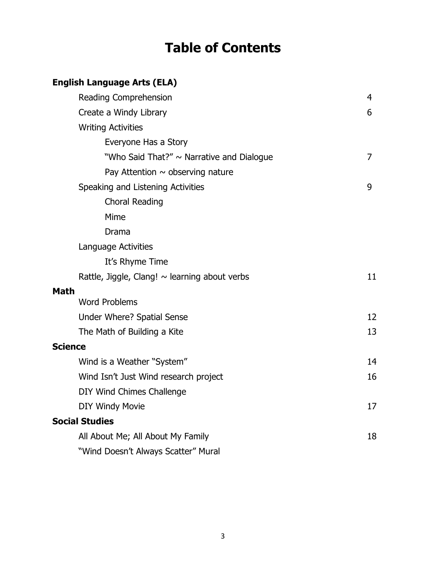# **Table of Contents**

### **English Language Arts (ELA)**

|                       | Reading Comprehension                              | 4  |
|-----------------------|----------------------------------------------------|----|
|                       | Create a Windy Library                             | 6  |
|                       | <b>Writing Activities</b>                          |    |
|                       | Everyone Has a Story                               |    |
|                       | "Who Said That?" ~ Narrative and Dialogue          | 7  |
|                       | Pay Attention $\sim$ observing nature              |    |
|                       | Speaking and Listening Activities                  | 9  |
|                       | <b>Choral Reading</b>                              |    |
|                       | Mime                                               |    |
|                       | Drama                                              |    |
|                       | Language Activities                                |    |
|                       | It's Rhyme Time                                    |    |
|                       | Rattle, Jiggle, Clang! $\sim$ learning about verbs | 11 |
| <b>Math</b>           |                                                    |    |
|                       | <b>Word Problems</b>                               |    |
|                       | Under Where? Spatial Sense                         | 12 |
|                       | The Math of Building a Kite                        | 13 |
| <b>Science</b>        |                                                    |    |
|                       | Wind is a Weather "System"                         | 14 |
|                       | Wind Isn't Just Wind research project              | 16 |
|                       | DIY Wind Chimes Challenge                          |    |
|                       | <b>DIY Windy Movie</b>                             | 17 |
| <b>Social Studies</b> |                                                    |    |
|                       | All About Me; All About My Family                  | 18 |
|                       | "Wind Doesn't Always Scatter" Mural                |    |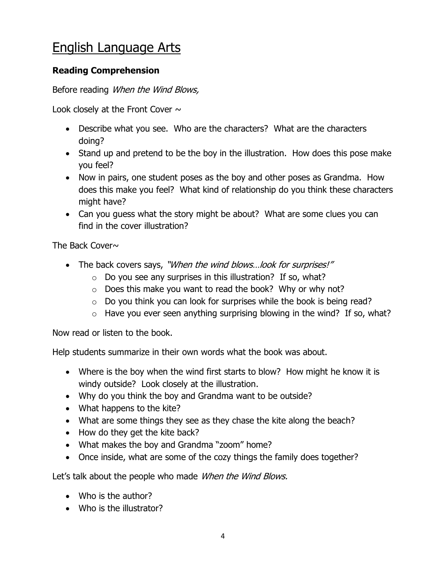## English Language Arts

#### **Reading Comprehension**

Before reading When the Wind Blows,

Look closely at the Front Cover  $\sim$ 

- Describe what you see. Who are the characters? What are the characters doing?
- Stand up and pretend to be the boy in the illustration. How does this pose make you feel?
- Now in pairs, one student poses as the boy and other poses as Grandma. How does this make you feel? What kind of relationship do you think these characters might have?
- Can you guess what the story might be about? What are some clues you can find in the cover illustration?

The Back Cover $\sim$ 

- The back covers says, "When the wind blows...look for surprises!"
	- o Do you see any surprises in this illustration? If so, what?
	- o Does this make you want to read the book? Why or why not?
	- $\circ$  Do you think you can look for surprises while the book is being read?
	- $\circ$  Have you ever seen anything surprising blowing in the wind? If so, what?

Now read or listen to the book.

Help students summarize in their own words what the book was about.

- Where is the boy when the wind first starts to blow? How might he know it is windy outside? Look closely at the illustration.
- Why do you think the boy and Grandma want to be outside?
- What happens to the kite?
- What are some things they see as they chase the kite along the beach?
- How do they get the kite back?
- What makes the boy and Grandma "zoom" home?
- Once inside, what are some of the cozy things the family does together?

Let's talk about the people who made When the Wind Blows.

- Who is the author?
- Who is the illustrator?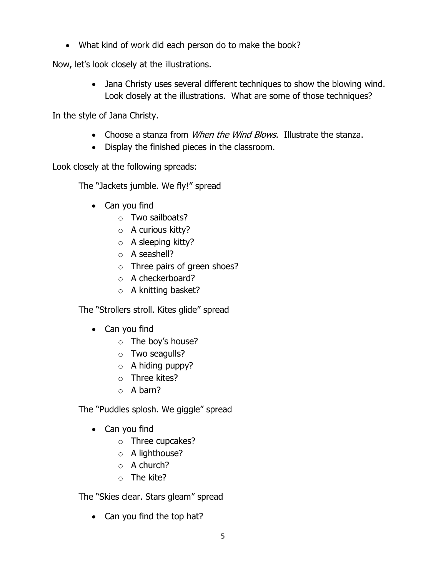What kind of work did each person do to make the book?

Now, let's look closely at the illustrations.

 Jana Christy uses several different techniques to show the blowing wind. Look closely at the illustrations. What are some of those techniques?

In the style of Jana Christy.

- Choose a stanza from *When the Wind Blows*. Illustrate the stanza.
- Display the finished pieces in the classroom.

Look closely at the following spreads:

The "Jackets jumble. We fly!" spread

- Can you find
	- o Two sailboats?
	- o A curious kitty?
	- o A sleeping kitty?
	- o A seashell?
	- o Three pairs of green shoes?
	- o A checkerboard?
	- o A knitting basket?

The "Strollers stroll. Kites glide" spread

- Can you find
	- o The boy's house?
	- o Two seagulls?
	- $\circ$  A hiding puppy?
	- o Three kites?
	- o A barn?

The "Puddles splosh. We giggle" spread

- Can you find
	- o Three cupcakes?
	- o A lighthouse?
	- o A church?
	- o The kite?

The "Skies clear. Stars gleam" spread

• Can you find the top hat?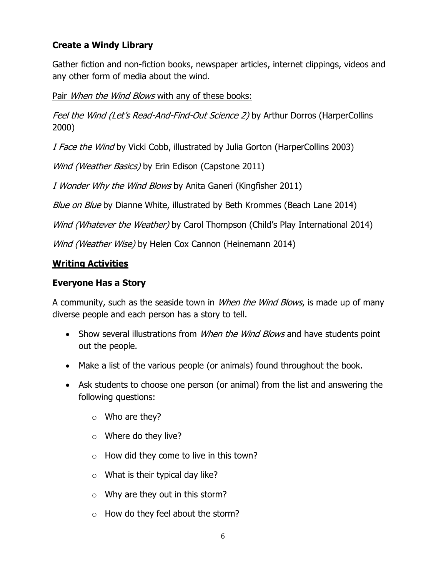#### **Create a Windy Library**

Gather fiction and non-fiction books, newspaper articles, internet clippings, videos and any other form of media about the wind.

Pair When the Wind Blows with any of these books:

Feel the Wind (Let's Read-And-Find-Out Science 2) by Arthur Dorros (HarperCollins 2000)

I Face the Wind by Vicki Cobb, illustrated by Julia Gorton (HarperCollins 2003)

Wind (Weather Basics) by Erin Edison (Capstone 2011)

I Wonder Why the Wind Blows by Anita Ganeri (Kingfisher 2011)

Blue on Blue by Dianne White, illustrated by Beth Krommes (Beach Lane 2014)

Wind (Whatever the Weather) by Carol Thompson (Child's Play International 2014)

Wind (Weather Wise) by Helen Cox Cannon (Heinemann 2014)

#### **Writing Activities**

#### **Everyone Has a Story**

A community, such as the seaside town in *When the Wind Blows*, is made up of many diverse people and each person has a story to tell.

- Show several illustrations from *When the Wind Blows* and have students point out the people.
- Make a list of the various people (or animals) found throughout the book.
- Ask students to choose one person (or animal) from the list and answering the following questions:
	- o Who are they?
	- $\circ$  Where do they live?
	- $\circ$  How did they come to live in this town?
	- $\circ$  What is their typical day like?
	- $\circ$  Why are they out in this storm?
	- o How do they feel about the storm?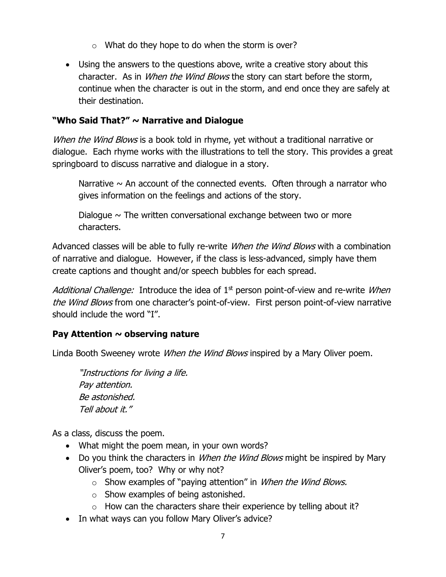- $\circ$  What do they hope to do when the storm is over?
- Using the answers to the questions above, write a creative story about this character. As in *When the Wind Blows* the story can start before the storm, continue when the character is out in the storm, and end once they are safely at their destination.

#### **"Who Said That?" ~ Narrative and Dialogue**

When the Wind Blows is a book told in rhyme, yet without a traditional narrative or dialogue. Each rhyme works with the illustrations to tell the story. This provides a great springboard to discuss narrative and dialogue in a story.

Narrative  $\sim$  An account of the connected events. Often through a narrator who gives information on the feelings and actions of the story.

Dialogue  $\sim$  The written conversational exchange between two or more characters.

Advanced classes will be able to fully re-write *When the Wind Blows* with a combination of narrative and dialogue. However, if the class is less-advanced, simply have them create captions and thought and/or speech bubbles for each spread.

Additional Challenge: Introduce the idea of  $1<sup>st</sup>$  person point-of-view and re-write *When* the Wind Blows from one character's point-of-view. First person point-of-view narrative should include the word "I".

#### **Pay Attention ~ observing nature**

Linda Booth Sweeney wrote *When the Wind Blows* inspired by a Mary Oliver poem.

"Instructions for living a life. Pay attention. Be astonished. Tell about it."

As a class, discuss the poem.

- What might the poem mean, in your own words?
- Do you think the characters in *When the Wind Blows* might be inspired by Mary Oliver's poem, too? Why or why not?
	- $\circ$  Show examples of "paying attention" in *When the Wind Blows.*
	- o Show examples of being astonished.
	- $\circ$  How can the characters share their experience by telling about it?
- In what ways can you follow Mary Oliver's advice?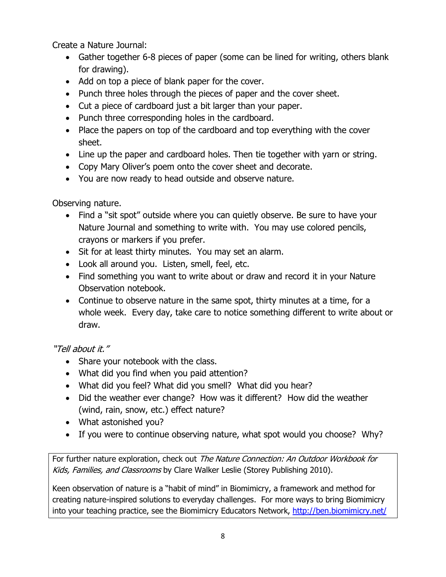Create a Nature Journal:

- Gather together 6-8 pieces of paper (some can be lined for writing, others blank for drawing).
- Add on top a piece of blank paper for the cover.
- Punch three holes through the pieces of paper and the cover sheet.
- Cut a piece of cardboard just a bit larger than your paper.
- Punch three corresponding holes in the cardboard.
- Place the papers on top of the cardboard and top everything with the cover sheet.
- Line up the paper and cardboard holes. Then tie together with yarn or string.
- Copy Mary Oliver's poem onto the cover sheet and decorate.
- You are now ready to head outside and observe nature.

Observing nature.

- Find a "sit spot" outside where you can quietly observe. Be sure to have your Nature Journal and something to write with. You may use colored pencils, crayons or markers if you prefer.
- Sit for at least thirty minutes. You may set an alarm.
- Look all around you. Listen, smell, feel, etc.
- Find something you want to write about or draw and record it in your Nature Observation notebook.
- Continue to observe nature in the same spot, thirty minutes at a time, for a whole week. Every day, take care to notice something different to write about or draw.

#### "Tell about it."

- Share your notebook with the class.
- What did you find when you paid attention?
- What did you feel? What did you smell? What did you hear?
- Did the weather ever change? How was it different? How did the weather (wind, rain, snow, etc.) effect nature?
- What astonished you?
- If you were to continue observing nature, what spot would you choose? Why?

For further nature exploration, check out The Nature Connection: An Outdoor Workbook for Kids, Families, and Classrooms by Clare Walker Leslie (Storey Publishing 2010).

Keen observation of nature is a "habit of mind" in Biomimicry, a framework and method for creating nature-inspired solutions to everyday challenges. For more ways to bring Biomimicry into your teaching practice, see the Biomimicry Educators Network,<http://ben.biomimicry.net/>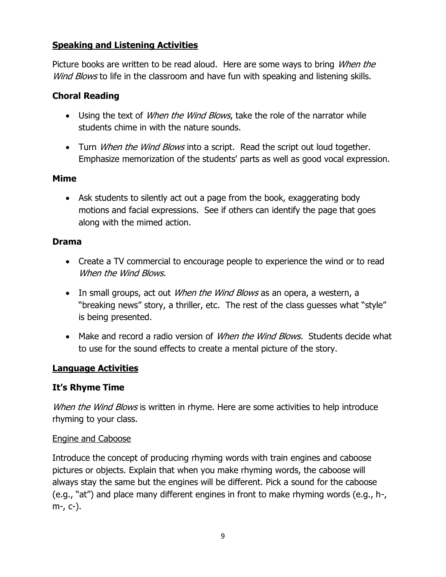#### **Speaking and Listening Activities**

Picture books are written to be read aloud. Here are some ways to bring *When the* Wind Blows to life in the classroom and have fun with speaking and listening skills.

#### **Choral Reading**

- Using the text of *When the Wind Blows*, take the role of the narrator while students chime in with the nature sounds.
- Turn *When the Wind Blows* into a script. Read the script out loud together. Emphasize memorization of the students' parts as well as good vocal expression.

#### **Mime**

 Ask students to silently act out a page from the book, exaggerating body motions and facial expressions. See if others can identify the page that goes along with the mimed action.

#### **Drama**

- Create a TV commercial to encourage people to experience the wind or to read When the Wind Blows.
- In small groups, act out *When the Wind Blows* as an opera, a western, a "breaking news" story, a thriller, etc. The rest of the class guesses what "style" is being presented.
- Make and record a radio version of *When the Wind Blows.* Students decide what to use for the sound effects to create a mental picture of the story.

#### **Language Activities**

#### **It's Rhyme Time**

When the Wind Blows is written in rhyme. Here are some activities to help introduce rhyming to your class.

#### Engine and Caboose

Introduce the concept of producing rhyming words with train engines and caboose pictures or objects. Explain that when you make rhyming words, the caboose will always stay the same but the engines will be different. Pick a sound for the caboose (e.g., "at") and place many different engines in front to make rhyming words (e.g., h-, m-, c-).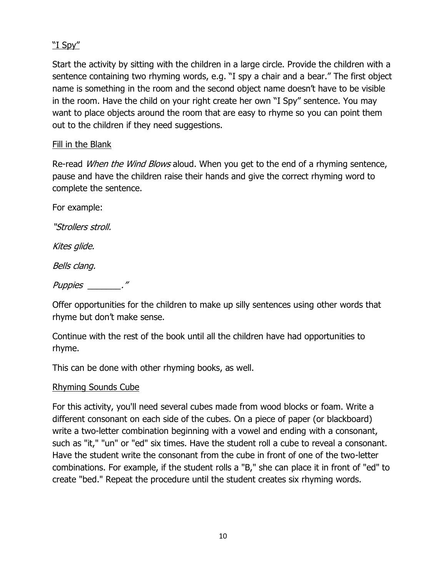#### "I Spy"

Start the activity by sitting with the children in a large circle. Provide the children with a sentence containing two rhyming words, e.g. "I spy a chair and a bear." The first object name is something in the room and the second object name doesn't have to be visible in the room. Have the child on your right create her own "I Spy" sentence. You may want to place objects around the room that are easy to rhyme so you can point them out to the children if they need suggestions.

#### Fill in the Blank

Re-read When the Wind Blows aloud. When you get to the end of a rhyming sentence, pause and have the children raise their hands and give the correct rhyming word to complete the sentence.

For example:

"Strollers stroll.

Kites glide.

Bells clang.

#### Puppies \_\_\_\_\_\_\_."

Offer opportunities for the children to make up silly sentences using other words that rhyme but don't make sense.

Continue with the rest of the book until all the children have had opportunities to rhyme.

This can be done with other rhyming books, as well.

#### Rhyming Sounds Cube

For this activity, you'll need several cubes made from wood blocks or foam. Write a different consonant on each side of the cubes. On a piece of paper (or blackboard) write a two-letter combination beginning with a vowel and ending with a consonant, such as "it," "un" or "ed" six times. Have the student roll a cube to reveal a consonant. Have the student write the consonant from the cube in front of one of the two-letter combinations. For example, if the student rolls a "B," she can place it in front of "ed" to create "bed." Repeat the procedure until the student creates six rhyming words.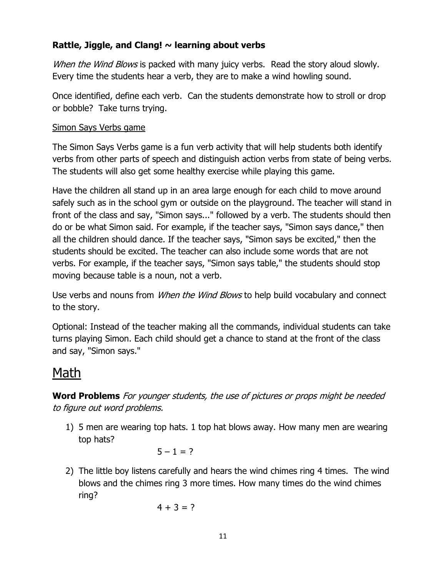#### **Rattle, Jiggle, and Clang! ~ learning about verbs**

When the Wind Blows is packed with many juicy verbs. Read the story aloud slowly. Every time the students hear a verb, they are to make a wind howling sound.

Once identified, define each verb. Can the students demonstrate how to stroll or drop or bobble? Take turns trying.

#### Simon Says Verbs game

The Simon Says Verbs game is a fun verb activity that will help students both identify verbs from other parts of speech and distinguish action verbs from state of being verbs. The students will also get some healthy exercise while playing this game.

Have the children all stand up in an area large enough for each child to move around safely such as in the school gym or outside on the playground. The teacher will stand in front of the class and say, "Simon says..." followed by a verb. The students should then do or be what Simon said. For example, if the teacher says, "Simon says dance," then all the children should dance. If the teacher says, "Simon says be excited," then the students should be excited. The teacher can also include some words that are not verbs. For example, if the teacher says, "Simon says table," the students should stop moving because table is a noun, not a verb.

Use verbs and nouns from *When the Wind Blows* to help build vocabulary and connect to the story.

Optional: Instead of the teacher making all the commands, individual students can take turns playing Simon. Each child should get a chance to stand at the front of the class and say, "Simon says."

## Math

**Word Problems** For younger students, the use of pictures or props might be needed to figure out word problems.

1) 5 men are wearing top hats. 1 top hat blows away. How many men are wearing top hats?

 $5 - 1 = ?$ 

2) The little boy listens carefully and hears the wind chimes ring 4 times. The wind blows and the chimes ring 3 more times. How many times do the wind chimes ring?

$$
4+3=?
$$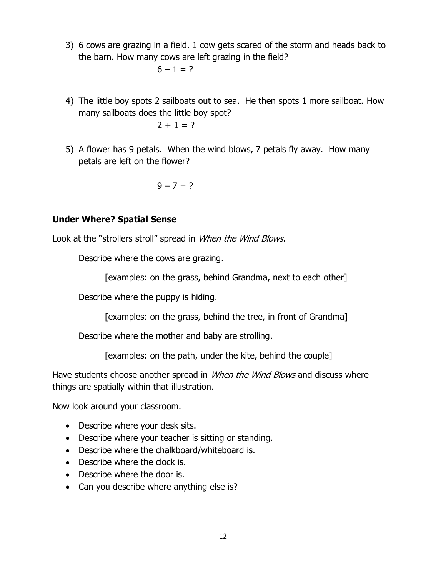3) 6 cows are grazing in a field. 1 cow gets scared of the storm and heads back to the barn. How many cows are left grazing in the field?

 $6 - 1 = ?$ 

- 4) The little boy spots 2 sailboats out to sea. He then spots 1 more sailboat. How many sailboats does the little boy spot?  $2 + 1 = ?$
- 5) A flower has 9 petals. When the wind blows, 7 petals fly away. How many petals are left on the flower?

$$
9-7=?
$$

#### **Under Where? Spatial Sense**

Look at the "strollers stroll" spread in When the Wind Blows.

Describe where the cows are grazing.

[examples: on the grass, behind Grandma, next to each other]

Describe where the puppy is hiding.

[examples: on the grass, behind the tree, in front of Grandma]

Describe where the mother and baby are strolling.

[examples: on the path, under the kite, behind the couple]

Have students choose another spread in *When the Wind Blows* and discuss where things are spatially within that illustration.

Now look around your classroom.

- Describe where your desk sits.
- Describe where your teacher is sitting or standing.
- Describe where the chalkboard/whiteboard is.
- Describe where the clock is.
- Describe where the door is.
- Can you describe where anything else is?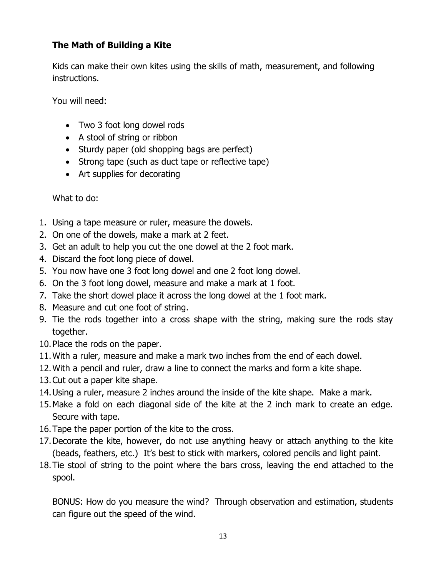#### **The Math of Building a Kite**

Kids can make their own kites using the skills of math, measurement, and following instructions.

You will need:

- Two 3 foot long dowel rods
- A stool of string or ribbon
- Sturdy paper (old shopping bags are perfect)
- Strong tape (such as duct tape or reflective tape)
- Art supplies for decorating

What to do:

- 1. Using a tape measure or ruler, measure the dowels.
- 2. On one of the dowels, make a mark at 2 feet.
- 3. Get an adult to help you cut the one dowel at the 2 foot mark.
- 4. Discard the foot long piece of dowel.
- 5. You now have one 3 foot long dowel and one 2 foot long dowel.
- 6. On the 3 foot long dowel, measure and make a mark at 1 foot.
- 7. Take the short dowel place it across the long dowel at the 1 foot mark.
- 8. Measure and cut one foot of string.
- 9. Tie the rods together into a cross shape with the string, making sure the rods stay together.
- 10.Place the rods on the paper.
- 11.With a ruler, measure and make a mark two inches from the end of each dowel.
- 12.With a pencil and ruler, draw a line to connect the marks and form a kite shape.
- 13.Cut out a paper kite shape.
- 14.Using a ruler, measure 2 inches around the inside of the kite shape. Make a mark.
- 15.Make a fold on each diagonal side of the kite at the 2 inch mark to create an edge. Secure with tape.
- 16.Tape the paper portion of the kite to the cross.
- 17.Decorate the kite, however, do not use anything heavy or attach anything to the kite (beads, feathers, etc.) It's best to stick with markers, colored pencils and light paint.
- 18.Tie stool of string to the point where the bars cross, leaving the end attached to the spool.

BONUS: How do you measure the wind? Through observation and estimation, students can figure out the speed of the wind.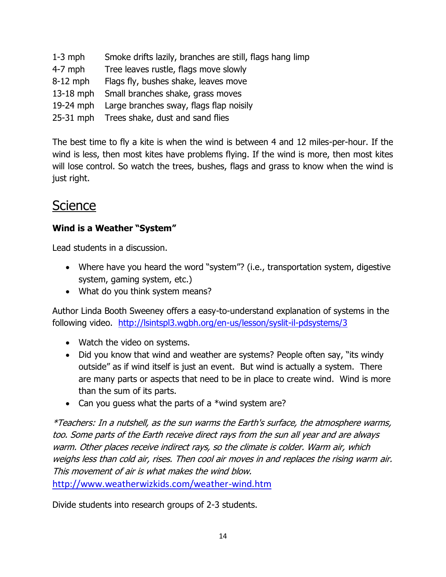- 1-3 mph Smoke drifts lazily, branches are still, flags hang limp
- 4-7 mph Tree leaves rustle, flags move slowly
- 8-12 mph Flags fly, bushes shake, leaves move
- 13-18 mph Small branches shake, grass moves
- 19-24 mph Large branches sway, flags flap noisily
- 25-31 mph Trees shake, dust and sand flies

The best time to fly a kite is when the wind is between 4 and 12 miles-per-hour. If the wind is less, then most kites have problems flying. If the wind is more, then most kites will lose control. So watch the trees, bushes, flags and grass to know when the wind is just right.

## **Science**

#### **Wind is a Weather "System"**

Lead students in a discussion.

- Where have you heard the word "system"? (i.e., transportation system, digestive system, gaming system, etc.)
- What do you think system means?

Author Linda Booth Sweeney offers a easy-to-understand explanation of systems in the following video. <http://lsintspl3.wgbh.org/en-us/lesson/syslit-il-pdsystems/3>

- Watch the video on systems.
- Did you know that wind and weather are systems? People often say, "its windy outside" as if wind itself is just an event. But wind is actually a system. There are many parts or aspects that need to be in place to create wind. Wind is more than the sum of its parts.
- Can you guess what the parts of a \*wind system are?

\*Teachers: In a nutshell, as the sun warms the Earth's surface, the atmosphere warms, too. Some parts of the Earth receive direct rays from the sun all year and are always warm. Other places receive indirect rays, so the climate is colder. Warm air, which weighs less than cold air, rises. Then cool air moves in and replaces the rising warm air. This movement of air is what makes the wind blow.

http://www.weatherwizkids.com/weather-wind.htm

Divide students into research groups of 2-3 students.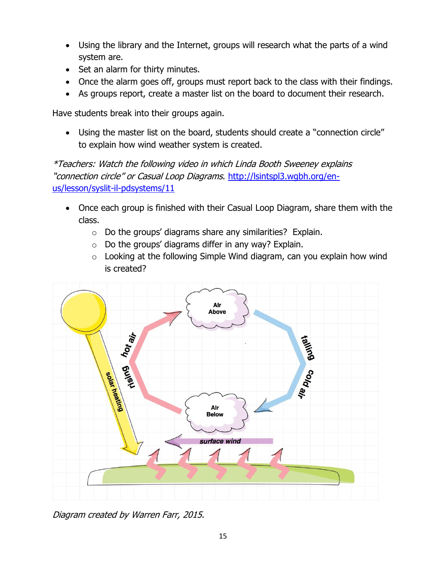- Using the library and the Internet, groups will research what the parts of a wind system are.
- Set an alarm for thirty minutes.
- Once the alarm goes off, groups must report back to the class with their findings.
- As groups report, create a master list on the board to document their research.

Have students break into their groups again.

 Using the master list on the board, students should create a "connection circle" to explain how wind weather system is created.

\*Teachers: Watch the following video in which Linda Booth Sweeney explains "connection circle" or Casual Loop Diagrams. [http://lsintspl3.wgbh.org/en](http://lsintspl3.wgbh.org/en-us/lesson/syslit-il-pdsystems/11)[us/lesson/syslit-il-pdsystems/11](http://lsintspl3.wgbh.org/en-us/lesson/syslit-il-pdsystems/11)

- Once each group is finished with their Casual Loop Diagram, share them with the class.
	- $\circ$  Do the groups' diagrams share any similarities? Explain.
	- $\circ$  Do the groups' diagrams differ in any way? Explain.
	- $\circ$  Looking at the following Simple Wind diagram, can you explain how wind is created?



Diagram created by Warren Farr, 2015.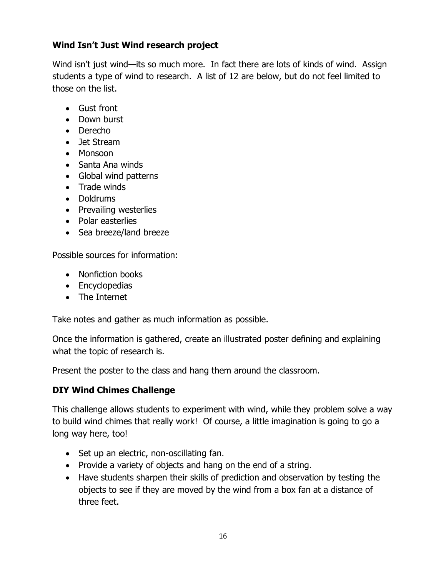#### **Wind Isn't Just Wind research project**

Wind isn't just wind—its so much more. In fact there are lots of kinds of wind. Assign students a type of wind to research. A list of 12 are below, but do not feel limited to those on the list.

- Gust front
- Down burst
- Derecho
- Jet Stream
- Monsoon
- Santa Ana winds
- Global wind patterns
- Trade winds
- Doldrums
- Prevailing westerlies
- Polar easterlies
- Sea breeze/land breeze

Possible sources for information:

- Nonfiction books
- Encyclopedias
- The Internet

Take notes and gather as much information as possible.

Once the information is gathered, create an illustrated poster defining and explaining what the topic of research is.

Present the poster to the class and hang them around the classroom.

#### **DIY Wind Chimes Challenge**

This challenge allows students to experiment with wind, while they problem solve a way to build wind chimes that really work! Of course, a little imagination is going to go a long way here, too!

- Set up an electric, non-oscillating fan.
- Provide a variety of objects and hang on the end of a string.
- Have students sharpen their skills of prediction and observation by testing the objects to see if they are moved by the wind from a box fan at a distance of three feet.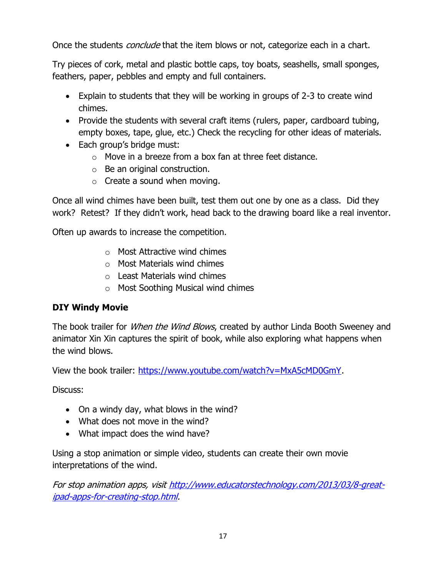Once the students *conclude* that the item blows or not, categorize each in a chart.

Try pieces of cork, metal and plastic bottle caps, toy boats, seashells, small sponges, feathers, paper, pebbles and empty and full containers.

- Explain to students that they will be working in groups of 2-3 to create wind chimes.
- Provide the students with several craft items (rulers, paper, cardboard tubing, empty boxes, tape, glue, etc.) Check the recycling for other ideas of materials.
- Each group's bridge must:
	- o Move in a breeze from a box fan at three feet distance.
	- o Be an original construction.
	- $\circ$  Create a sound when moving.

Once all wind chimes have been built, test them out one by one as a class. Did they work? Retest? If they didn't work, head back to the drawing board like a real inventor.

Often up awards to increase the competition.

- o Most Attractive wind chimes
- $\circ$  Most Materials wind chimes
- o Least Materials wind chimes
- o Most Soothing Musical wind chimes

#### **DIY Windy Movie**

The book trailer for *When the Wind Blows*, created by author Linda Booth Sweeney and animator Xin Xin captures the spirit of book, while also exploring what happens when the wind blows.

View the book trailer: [https://www.youtube.com/watch?v=MxA5cMD0GmY.](https://www.youtube.com/watch?v=MxA5cMD0GmY)

Discuss:

- On a windy day, what blows in the wind?
- What does not move in the wind?
- What impact does the wind have?

Using a stop animation or simple video, students can create their own movie interpretations of the wind.

For stop animation apps, visi[t http://www.educatorstechnology.com/2013/03/8-great](http://www.educatorstechnology.com/2013/03/8-great-ipad-apps-for-creating-stop.html)[ipad-apps-for-creating-stop.html.](http://www.educatorstechnology.com/2013/03/8-great-ipad-apps-for-creating-stop.html)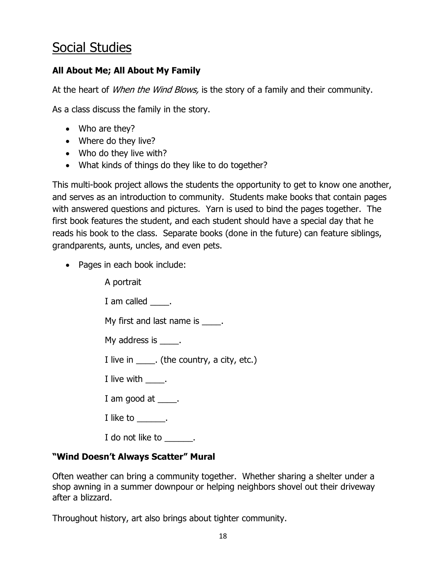## Social Studies

#### **All About Me; All About My Family**

At the heart of *When the Wind Blows*, is the story of a family and their community.

As a class discuss the family in the story.

- Who are they?
- Where do they live?
- Who do they live with?
- What kinds of things do they like to do together?

This multi-book project allows the students the opportunity to get to know one another, and serves as an introduction to community. Students make books that contain pages with answered questions and pictures. Yarn is used to bind the pages together. The first book features the student, and each student should have a special day that he reads his book to the class. Separate books (done in the future) can feature siblings, grandparents, aunts, uncles, and even pets.

• Pages in each book include:

A portrait I am called \_\_\_\_\_. My first and last name is  $\qquad \qquad$ . My address is \_\_\_\_\_. I live in \_\_\_\_\_. (the country, a city, etc.) I live with \_\_\_\_\_. I am good at \_\_\_\_\_. I like to \_\_\_\_\_\_\_. I do not like to  $\qquad \qquad$ .

#### **"Wind Doesn't Always Scatter" Mural**

Often weather can bring a community together. Whether sharing a shelter under a shop awning in a summer downpour or helping neighbors shovel out their driveway after a blizzard.

Throughout history, art also brings about tighter community.